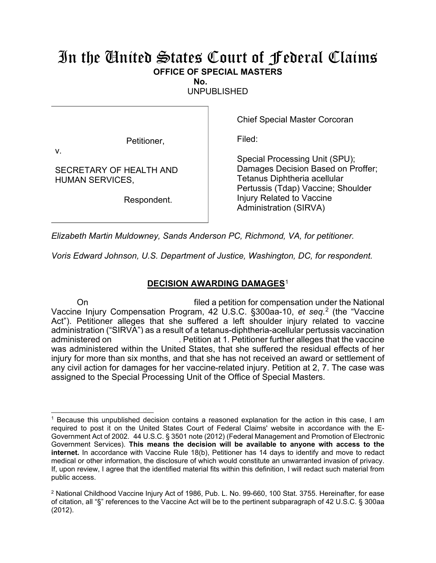## In the United States Court of Federal Claims **OFFICE OF SPECIAL MASTERS**

**No.** 

UNPUBLISHED

Petitioner,

Chief Special Master Corcoran

Filed:

v.

SECRETARY OF HEALTH AND HUMAN SERVICES,

Respondent.

Special Processing Unit (SPU); Damages Decision Based on Proffer; Tetanus Diphtheria acellular Pertussis (Tdap) Vaccine; Shoulder Injury Related to Vaccine Administration (SIRVA)

*Elizabeth Martin Muldowney, Sands Anderson PC, Richmond, VA, for petitioner.*

*Voris Edward Johnson, U.S. Department of Justice, Washington, DC, for respondent.*

## **DECISION AWARDING DAMAGES**<sup>1</sup>

On filed a petition for compensation under the National Vaccine Injury Compensation Program, 42 U.S.C. §300aa-10, *et seq.*<sup>2</sup> (the "Vaccine Act"). Petitioner alleges that she suffered a left shoulder injury related to vaccine administration ("SIRVA") as a result of a tetanus-diphtheria-acellular pertussis vaccination administered on . Petition at 1. Petitioner further alleges that the vaccine was administered within the United States, that she suffered the residual effects of her injury for more than six months, and that she has not received an award or settlement of any civil action for damages for her vaccine-related injury. Petition at 2, 7. The case was assigned to the Special Processing Unit of the Office of Special Masters.

<sup>1</sup> Because this unpublished decision contains a reasoned explanation for the action in this case, I am required to post it on the United States Court of Federal Claims' website in accordance with the E-Government Act of 2002. 44 U.S.C. § 3501 note (2012) (Federal Management and Promotion of Electronic Government Services). **This means the decision will be available to anyone with access to the internet.** In accordance with Vaccine Rule 18(b), Petitioner has 14 days to identify and move to redact medical or other information, the disclosure of which would constitute an unwarranted invasion of privacy. If, upon review, I agree that the identified material fits within this definition, I will redact such material from public access.

<sup>2</sup> National Childhood Vaccine Injury Act of 1986, Pub. L. No. 99-660, 100 Stat. 3755. Hereinafter, for ease of citation, all "§" references to the Vaccine Act will be to the pertinent subparagraph of 42 U.S.C. § 300aa (2012).